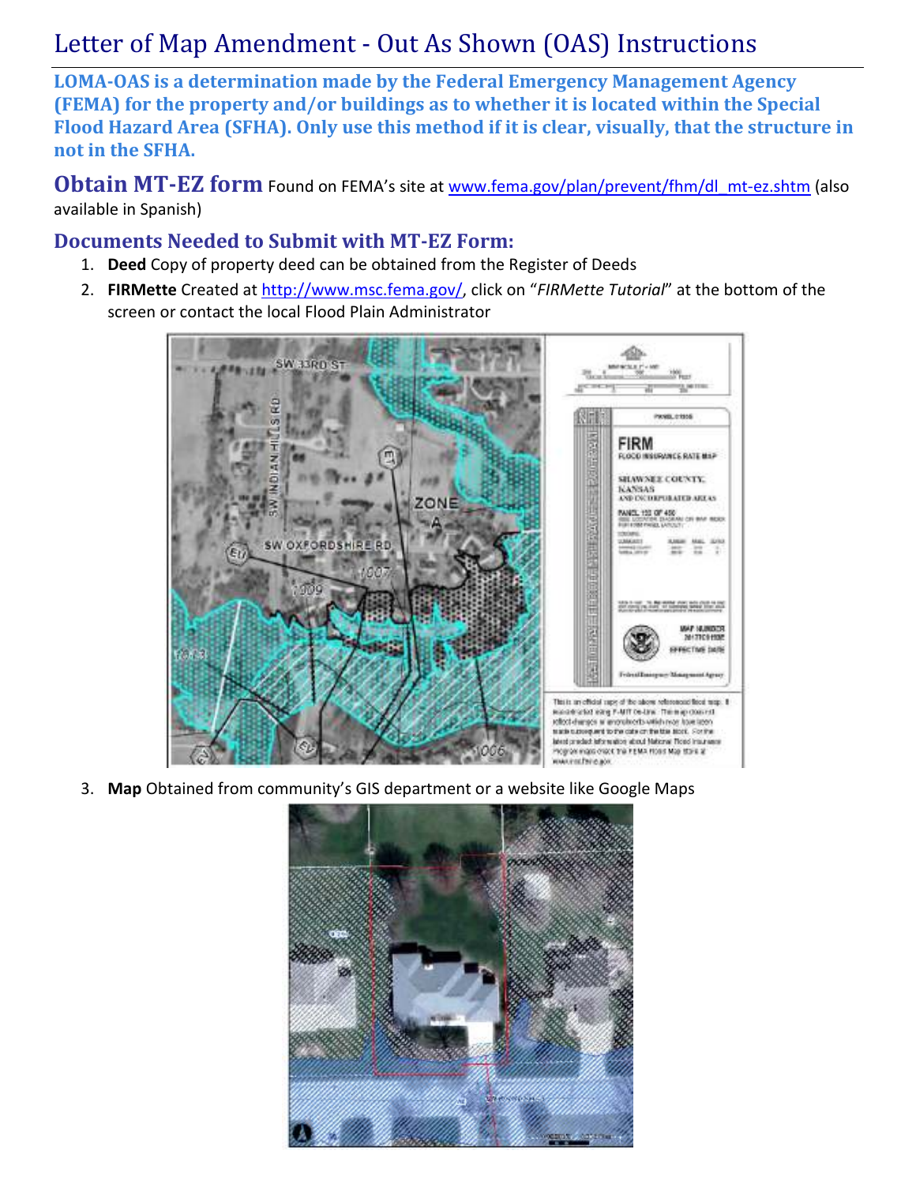# Letter of Map Amendment - Out As Shown (OAS) Instructions

LOMA-OAS is a determination made by the Federal Emergency Management Agency (FEMA) for the property and/or buildings as to whether it is located within the Special Flood Hazard Area (SFHA). Only use this method if it is clear, visually, that the structure in not in the SFHA.

Obtain MT-EZ form Found on FEMA's site at www.fema.gov/plan/prevent/fhm/dl\_mt-ez.shtm (also available in Spanish)

### Documents Needed to Submit with MT-EZ Form:

- 1. Deed Copy of property deed can be obtained from the Register of Deeds
- 2. FIRMette Created at http://www.msc.fema.gov/, click on "FIRMette Tutorial" at the bottom of the screen or contact the local Flood Plain Administrator



3. Map Obtained from community's GIS department or a website like Google Maps

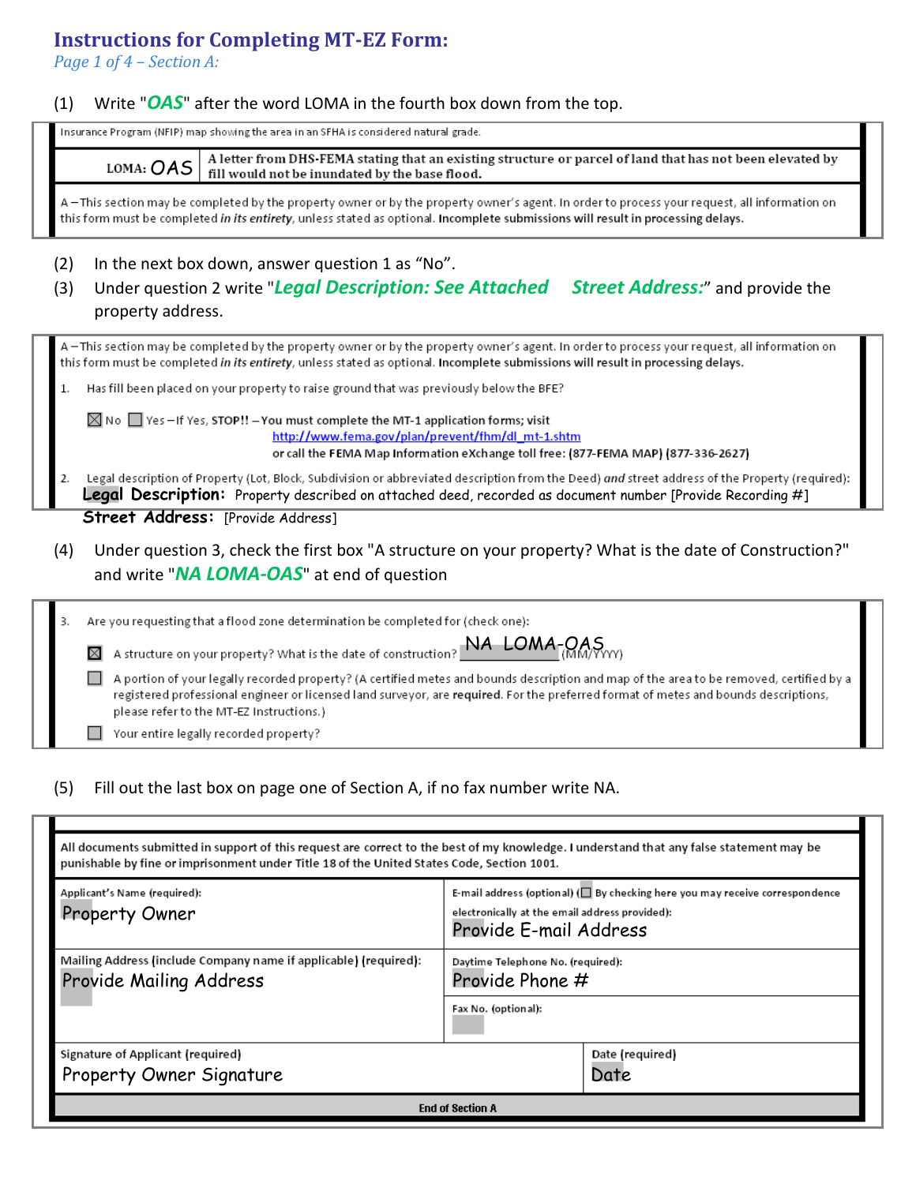## Instructions for Completing MT-EZ Form:

Page 1 of 4 – Section A:

#### (1) Write " $OAS$ " after the word LOMA in the fourth box down from the top.

Insurance Program (NFIP) map showing the area in an SFHA is considered natural grade.

A letter from DHS-FEMA stating that an existing structure or parcel of land that has not been elevated by LOMA: OAS fill would not be inundated by the base flood.

A – This section may be completed by the property owner or by the property owner's agent. In order to process your request, all information on this form must be completed in its entirety, unless stated as optional. Incomplete submissions will result in processing delays.

- (2) In the next box down, answer question 1 as "No".
- (3) Under question 2 write "Legal Description: See Attached Street Address:" and provide the property address.

A -This section may be completed by the property owner or by the property owner's agent. In order to process your request, all information on this form must be completed in its entirety, unless stated as optional. Incomplete submissions will result in processing delays.

Has fill been placed on your property to raise ground that was previously below the BFE?  $\mathbf{1}$ .

 $\boxtimes$  No  $\Box$  Yes - If Yes, STOP!! - You must complete the MT-1 application forms; visit http://www.fema.gov/plan/prevent/fhm/dl\_mt-1.shtm or call the FEMA Map Information eXchange toll free: (877-FEMA MAP) (877-336-2627)

 $2.$ Legal description of Property (Lot, Block, Subdivision or abbreviated description from the Deed) and street address of the Property (required): Legal Description: Property described on attached deed, recorded as document number [Provide Recording #]

**Street Address:** [Provide Address]

(4) Under question 3, check the first box "A structure on your property? What is the date of Construction?" and write "NA LOMA-OAS" at end of question

|  | Are you requesting that a flood zone determination be completed for (check one):                                                                                                                                                                                                                                             |  |  |  |  |
|--|------------------------------------------------------------------------------------------------------------------------------------------------------------------------------------------------------------------------------------------------------------------------------------------------------------------------------|--|--|--|--|
|  | A structure on your property? What is the date of construction? $NA$ $LOMA$ $\cap$ $QAA$<br>⊠                                                                                                                                                                                                                                |  |  |  |  |
|  | A portion of your legally recorded property? (A certified metes and bounds description and map of the area to be removed, certified by a<br>registered professional engineer or licensed land surveyor, are required. For the preferred format of metes and bounds descriptions,<br>please refer to the MT-EZ Instructions.) |  |  |  |  |
|  | Your entire legally recorded property?                                                                                                                                                                                                                                                                                       |  |  |  |  |

(5) Fill out the last box on page one of Section A, if no fax number write NA.

| All documents submitted in support of this request are correct to the best of my knowledge. I understand that any false statement may be<br>punishable by fine or imprisonment under Title 18 of the United States Code, Section 1001. |                                                      |                          |  |  |
|----------------------------------------------------------------------------------------------------------------------------------------------------------------------------------------------------------------------------------------|------------------------------------------------------|--------------------------|--|--|
| Applicant's Name (required):<br>E-mail address (optional) ( $\square$ By checking here you may receive correspondence<br><b>Property Owner</b><br>electronically at the email address provided):<br>Provide E-mail Address             |                                                      |                          |  |  |
| Mailing Address (include Company name if applicable) (required):<br><b>Provide Mailing Address</b>                                                                                                                                     | Daytime Telephone No. (required):<br>Provide Phone # |                          |  |  |
|                                                                                                                                                                                                                                        | Fax No. (optional):                                  |                          |  |  |
| Signature of Applicant (required)<br>Property Owner Signature                                                                                                                                                                          |                                                      | Date (required)<br>Date. |  |  |
| <b>End of Section A</b>                                                                                                                                                                                                                |                                                      |                          |  |  |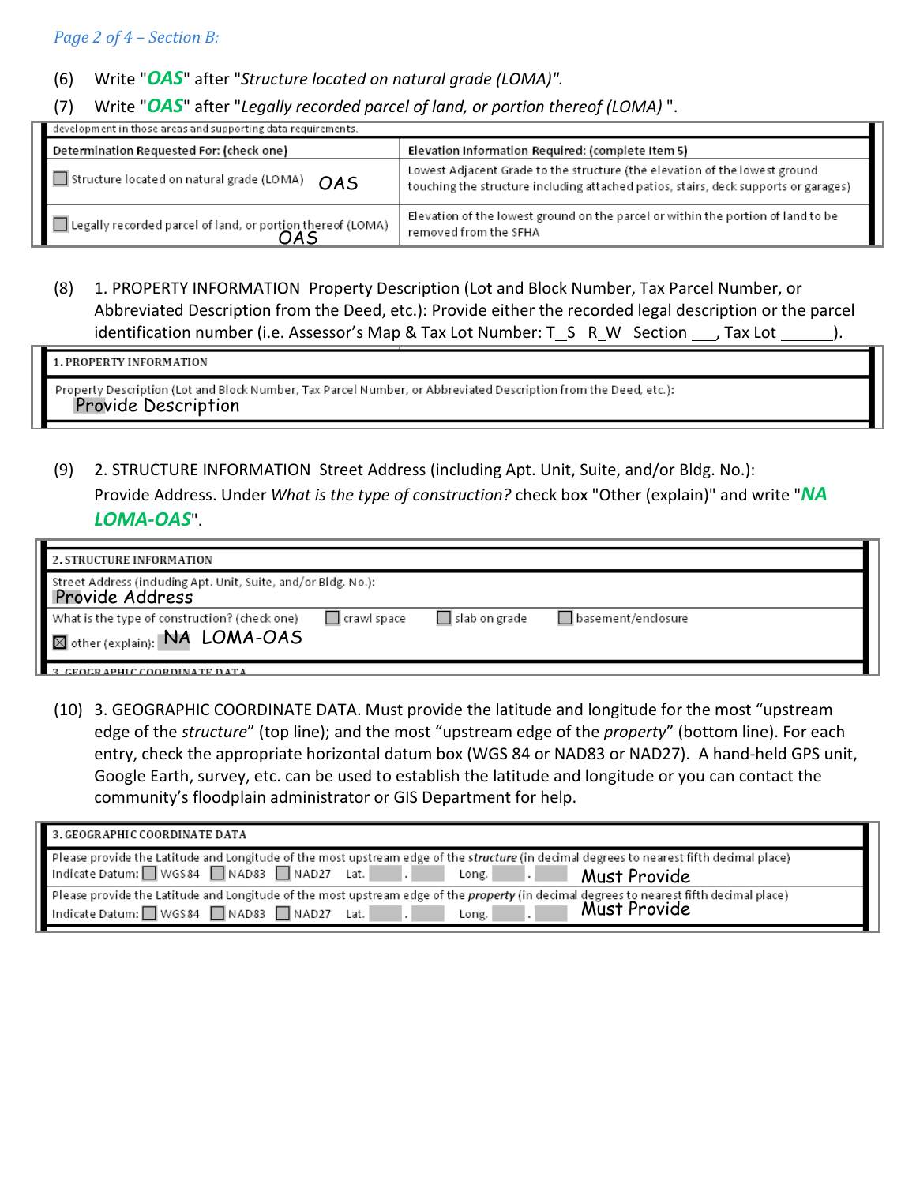#### Page 2 of 4 – Section B:

#### (6) Write " $OAS$ " after "Structure located on natural grade (LOMA)".

(7) Write " $OAS$ " after "Legally recorded parcel of land, or portion thereof (LOMA)".

| development in those areas and supporting data requirements. |                                                                                                                                                                   |  |  |
|--------------------------------------------------------------|-------------------------------------------------------------------------------------------------------------------------------------------------------------------|--|--|
| Determination Requested For: (check one)                     | Elevation Information Required: (complete Item 5)                                                                                                                 |  |  |
| Structure located on natural grade (LOMA)<br><b>OAS</b>      | Lowest Adjacent Grade to the structure (the elevation of the lowest ground<br>touching the structure including attached patios, stairs, deck supports or garages) |  |  |
| Legally recorded parcel of land, or portion thereof (LOMA)   | Elevation of the lowest ground on the parcel or within the portion of land to be<br>removed from the SFHA                                                         |  |  |

(8) 1. PROPERTY INFORMATION Property Description (Lot and Block Number, Tax Parcel Number, or Abbreviated Description from the Deed, etc.): Provide either the recorded legal description or the parcel identification number (i.e. Assessor's Map & Tax Lot Number: T S R W Section , Tax Lot

1. PROPERTY INFORMATION

Property Description (Lot and Block Number, Tax Parcel Number, or Abbreviated Description from the Deed, etc.): Provide Description

(9) 2. STRUCTURE INFORMATION Street Address (including Apt. Unit, Suite, and/or Bldg. No.):

Provide Address. Under What is the type of construction? check box "Other (explain)" and write "NA LOMA-OAS".

| 2. STRUCTURE INFORMATION                                                                       |               |                   |                    |  |
|------------------------------------------------------------------------------------------------|---------------|-------------------|--------------------|--|
| Street Address (induding Apt. Unit, Suite, and/or Bldg. No.):<br>Provide Address               |               |                   |                    |  |
| What is the type of construction? (check one)<br>$\P$ $\boxtimes$ other (explain): NA LOMA-OAS | I crawl space | │ │ slab on grade | basement/enclosure |  |
| 2. CEOCP APHIC COOPDINATE DATA                                                                 |               |                   |                    |  |

(10) 3. GEOGRAPHIC COORDINATE DATA. Must provide the latitude and longitude for the most "upstream edge of the structure" (top line); and the most "upstream edge of the property" (bottom line). For each entry, check the appropriate horizontal datum box (WGS 84 or NAD83 or NAD27). A hand-held GPS unit, Google Earth, survey, etc. can be used to establish the latitude and longitude or you can contact the community's floodplain administrator or GIS Department for help.

| 3. GEOGRAPHIC COORDINATE DATA                                                                                                                                                                               |  |  |  |  |
|-------------------------------------------------------------------------------------------------------------------------------------------------------------------------------------------------------------|--|--|--|--|
| Please provide the Latitude and Longitude of the most upstream edge of the structure (in decimal degrees to nearest fifth decimal place)<br>Indicate Datum: WGS84 NAD83 NAD27 Lat.<br>Must Provide<br>Long. |  |  |  |  |
| Please provide the Latitude and Longitude of the most upstream edge of the property (in decimal degrees to nearest fifth decimal place)<br>Must Provide<br>Indicate Datum: WGS84 NAD83 NAD27 Lat.<br>Long.  |  |  |  |  |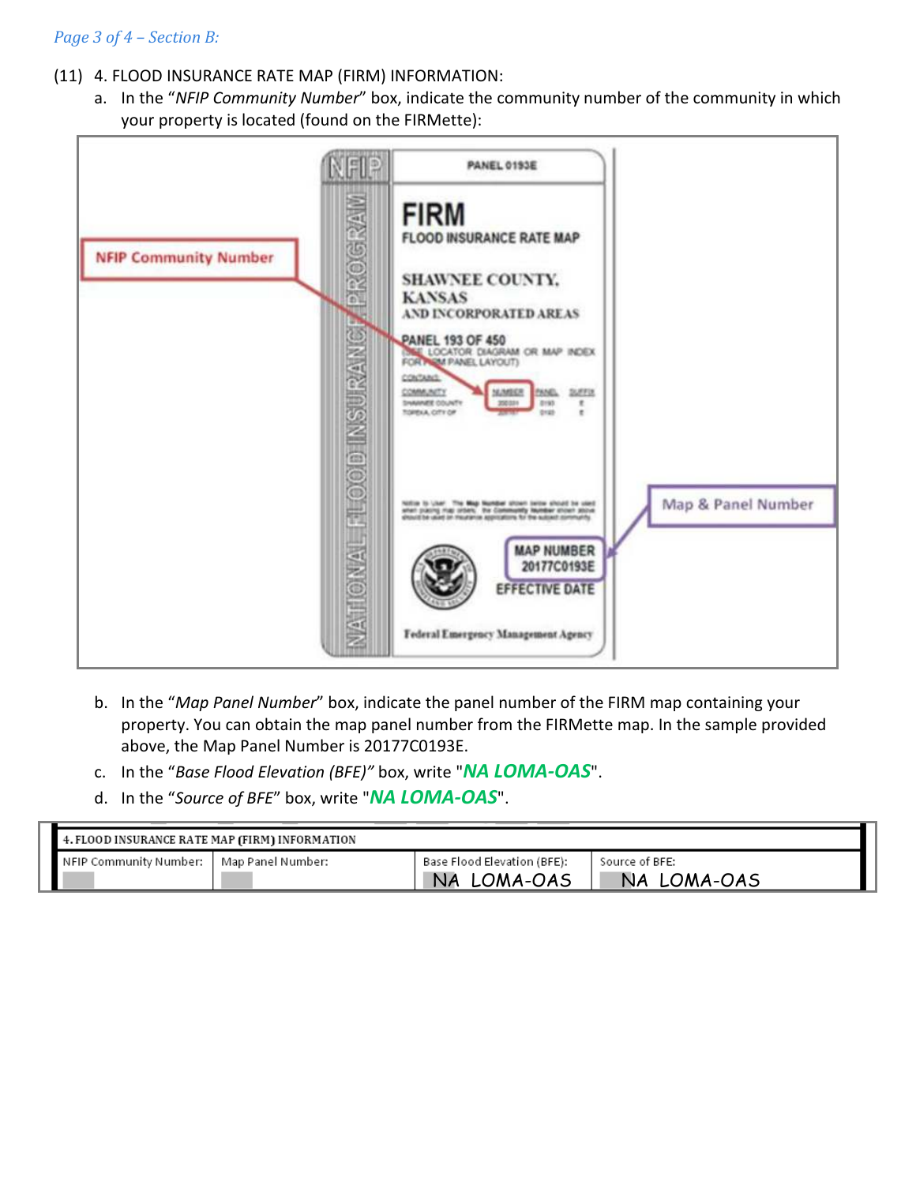#### Page 3 of 4 – Section B:

- (11) 4. FLOOD INSURANCE RATE MAP (FIRM) INFORMATION:
	- a. In the "NFIP Community Number" box, indicate the community number of the community in which your property is located (found on the FIRMette):



- b. In the "Map Panel Number" box, indicate the panel number of the FIRM map containing your property. You can obtain the map panel number from the FIRMette map. In the sample provided above, the Map Panel Number is 20177C0193E.
- c. In the "Base Flood Elevation (BFE)" box, write "NA LOMA-OAS".
- d. In the "Source of BFE" box, write "NA LOMA-OAS".

| 4. FLOOD INSURANCE RATE MAP (FIRM) INFORMATION |                   |                                            |                               |  |
|------------------------------------------------|-------------------|--------------------------------------------|-------------------------------|--|
| l NFIP Community Number: -                     | Map Panel Number: | Base Flood Elevation (BFE):<br>NA LOMA-OAS | Source of BFE:<br>NA LOMA-OAS |  |